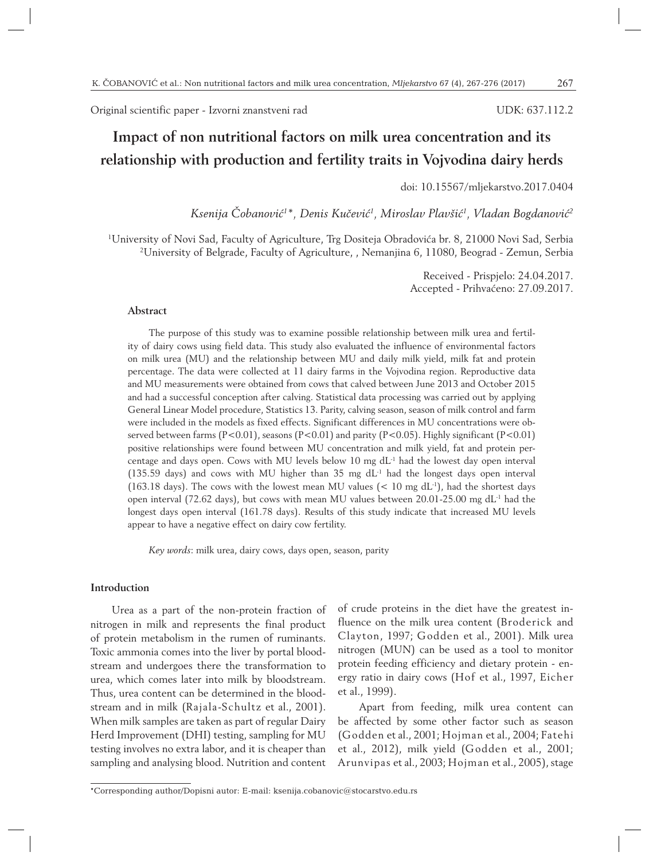Original scientific paper - Izvorni znanstveni rad

#### UDK: 637.112.2

# **Impact of non nutritional factors on milk urea concentration and its relationship with production and fertility traits in Vojvodina dairy herds**

doi: 10.15567/mljekarstvo.2017.0404

*Ksenija Čobanović1 \*, Denis Kučević1 , Miroslav Plavšić1 , Vladan Bogdanović2*

1 University of Novi Sad, Faculty of Agriculture, Trg Dositeja Obradovića br. 8, 21000 Novi Sad, Serbia 2 <sup>2</sup>University of Belgrade, Faculty of Agriculture, , Nemanjina 6, 11080, Beograd - Zemun, Serbia

> Received - Prispjelo: 24.04.2017. Accepted - Prihvaćeno: 27.09.2017.

## **Abstract**

The purpose of this study was to examine possible relationship between milk urea and fertility of dairy cows using field data. This study also evaluated the influence of environmental factors on milk urea (MU) and the relationship between MU and daily milk yield, milk fat and protein percentage. The data were collected at 11 dairy farms in the Vojvodina region. Reproductive data and MU measurements were obtained from cows that calved between June 2013 and October 2015 and had a successful conception after calving. Statistical data processing was carried out by applying General Linear Model procedure, Statistics 13. Parity, calving season, season of milk control and farm were included in the models as fixed effects. Significant differences in MU concentrations were observed between farms (P<0.01), seasons (P<0.01) and parity (P<0.05). Highly significant (P<0.01) positive relationships were found between MU concentration and milk yield, fat and protein percentage and days open. Cows with MU levels below 10 mg  $dL<sup>-1</sup>$  had the lowest day open interval (135.59 days) and cows with MU higher than 35 mg  $dL<sup>-1</sup>$  had the longest days open interval (163.18 days). The cows with the lowest mean MU values ( $< 10$  mg dL<sup>-1</sup>), had the shortest days open interval (72.62 days), but cows with mean MU values between  $20.01-25.00$  mg dL<sup>-1</sup> had the longest days open interval (161.78 days). Results of this study indicate that increased MU levels appear to have a negative effect on dairy cow fertility.

*Key words*: milk urea, dairy cows, days open, season, parity

#### **Introduction**

Urea as a part of the non-protein fraction of nitrogen in milk and represents the final product of protein metabolism in the rumen of ruminants. Toxic ammonia comes into the liver by portal bloodstream and undergoes there the transformation to urea, which comes later into milk by bloodstream. Thus, urea content can be determined in the bloodstream and in milk (Rajala-Schultz et al., 2001). When milk samples are taken as part of regular Dairy Herd Improvement (DHI) testing, sampling for MU testing involves no extra labor, and it is cheaper than sampling and analysing blood. Nutrition and content of crude proteins in the diet have the greatest influence on the milk urea content (Broderick and Clayton, 1997; Godden et al., 2001). Milk urea nitrogen (MUN) can be used as a tool to monitor protein feeding efficiency and dietary protein - energy ratio in dairy cows (Hof et al., 1997, Eicher et al., 1999).

Apart from feeding, milk urea content can be affected by some other factor such as season (Godden et al., 2001; Hojman et al., 2004; Fatehi et al., 2012), milk yield (Godden et al., 2001; Arunvipas et al., 2003; Hojman et al., 2005), stage

<sup>\*</sup>Corresponding author/Dopisni autor: E-mail: ksenija.cobanovic@stocarstvo.edu.rs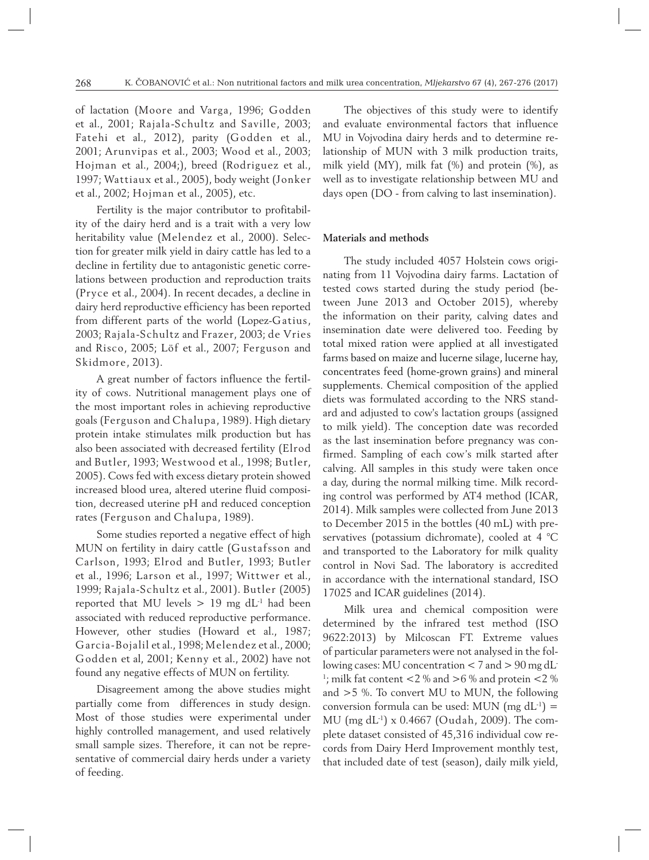of lactation (Moore and Varga, 1996; Godden et al., 2001; Rajala-Schultz and Saville, 2003; Fatehi et al., 2012), parity (Godden et al., 2001; Arunvipas et al., 2003; Wood et al., 2003; Hojman et al., 2004;), breed (Rodriguez et al., 1997; Wattiaux et al., 2005), body weight (Jonker et al., 2002; Hojman et al., 2005), etc.

Fertility is the major contributor to profitability of the dairy herd and is a trait with a very low heritability value (Melendez et al., 2000). Selection for greater milk yield in dairy cattle has led to a decline in fertility due to antagonistic genetic correlations between production and reproduction traits (Pryce et al., 2004). In recent decades, a decline in dairy herd reproductive efficiency has been reported from different parts of the world (Lopez-Gatius, 2003; Rajala-Schultz and Frazer, 2003; de Vries and Risco, 2005; Löf et al., 2007; Ferguson and Skidmore, 2013).

A great number of factors influence the fertility of cows. Nutritional management plays one of the most important roles in achieving reproductive goals (Ferguson and Chalupa, 1989). High dietary protein intake stimulates milk production but has also been associated with decreased fertility (Elrod and Butler, 1993; Westwood et al., 1998; Butler, 2005). Cows fed with excess dietary protein showed increased blood urea, altered uterine fluid composition, decreased uterine pH and reduced conception rates (Ferguson and Chalupa, 1989).

Some studies reported a negative effect of high MUN on fertility in dairy cattle (Gustafsson and Carlson, 1993; Elrod and Butler, 1993; Butler et al., 1996; Larson et al., 1997; Wittwer et al., 1999; Rajala-Schultz et al., 2001). Butler (2005) reported that MU levels  $> 19$  mg dL<sup>-1</sup> had been associated with reduced reproductive performance. However, other studies (Howard et al., 1987; Garcia-Bojalil et al., 1998; Melendez et al., 2000; Godden et al, 2001; Kenny et al., 2002) have not found any negative effects of MUN on fertility.

Disagreement among the above studies might partially come from differences in study design. Most of those studies were experimental under highly controlled management, and used relatively small sample sizes. Therefore, it can not be representative of commercial dairy herds under a variety of feeding.

The objectives of this study were to identify and evaluate environmental factors that influence MU in Vojvodina dairy herds and to determine relationship of MUN with 3 milk production traits, milk yield (MY), milk fat (%) and protein (%), as well as to investigate relationship between MU and days open (DO - from calving to last insemination).

#### **Materials and methods**

The study included 4057 Holstein cows originating from 11 Vojvodina dairy farms. Lactation of tested cows started during the study period (between June 2013 and October 2015), whereby the information on their parity, calving dates and insemination date were delivered too. Feeding by total mixed ration were applied at all investigated farms based on maize and lucerne silage, lucerne hay, concentrates feed (home-grown grains) and mineral supplements. Chemical composition of the applied diets was formulated according to the NRS standard and adjusted to cow's lactation groups (assigned to milk yield). The conception date was recorded as the last insemination before pregnancy was confirmed. Sampling of each cow's milk started after calving. All samples in this study were taken once a day, during the normal milking time. Milk recording control was performed by AT4 method (ICAR, 2014). Milk samples were collected from June 2013 to December 2015 in the bottles (40 mL) with preservatives (potassium dichromate), cooled at 4 °C and transported to the Laboratory for milk quality control in Novi Sad. The laboratory is accredited in accordance with the international standard, ISO 17025 and ICAR guidelines (2014).

Milk urea and chemical composition were determined by the infrared test method (ISO 9622:2013) by Milcoscan FT. Extreme values of particular parameters were not analysed in the following cases: MU concentration < 7 and > 90 mg dL-<sup>1</sup>; milk fat content <2  $\%$  and >6  $\%$  and protein <2  $\%$ and >5 %. To convert MU to MUN, the following conversion formula can be used: MUN (mg  $dL^{-1}$ ) = MU (mg dL-1) x 0.4667 (Oudah, 2009). The complete dataset consisted of 45,316 individual cow records from Dairy Herd Improvement monthly test, that included date of test (season), daily milk yield,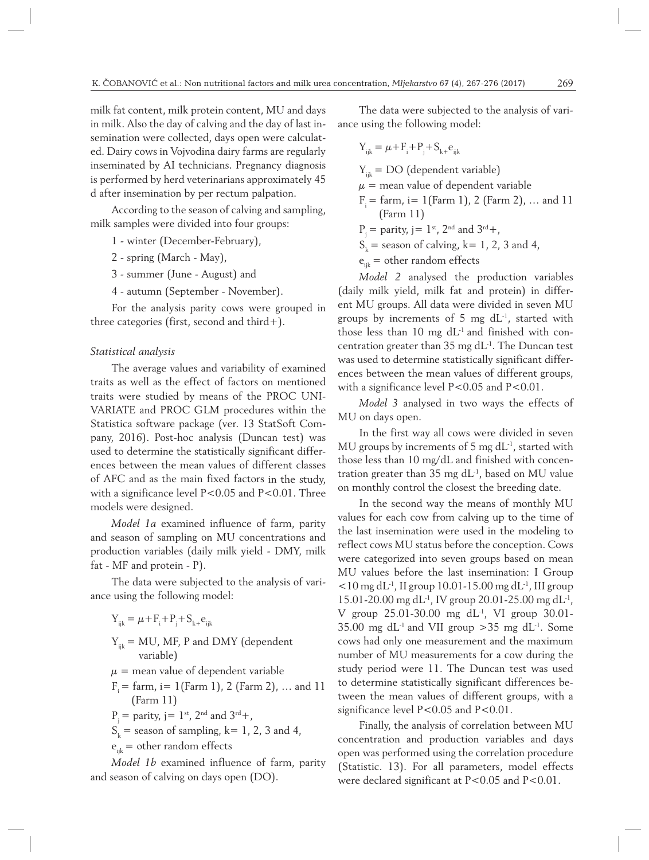milk fat content, milk protein content, MU and days in milk. Also the day of calving and the day of last insemination were collected, days open were calculated. Dairy cows in Vojvodina dairy farms are regularly inseminated by AI technicians. Pregnancy diagnosis is performed by herd veterinarians approximately 45 d after insemination by per rectum palpation.

According to the season of calving and sampling, milk samples were divided into four groups:

- 1 winter (December-February),
- 2 spring (March May),
- 3 summer (June August) and
- 4 autumn (September November).

For the analysis parity cows were grouped in three categories (first, second and third+).

#### *Statistical analysis*

The average values and variability of examined traits as well as the effect of factors on mentioned traits were studied by means of the PROC UNI-VARIATE and PROC GLM procedures within the Statistica software package (ver. 13 StatSoft Company, 2016). Post-hoc analysis (Duncan test) was used to determine the statistically significant differences between the mean values of different classes of AFC and as the main fixed factors in the study, with a significance level P<0.05 and P<0.01. Three models were designed.

*Model 1a* examined influence of farm, parity and season of sampling on MU concentrations and production variables (daily milk yield - DMY, milk fat - MF and protein - P).

The data were subjected to the analysis of variance using the following model:

- $Y_{ijk} = \mu + F_i + P_j + S_{k+}e_{ijk}$  $Y_{ijk}$  = MU, MF, P and DMY (dependent variable)
- $\mu$  = mean value of dependent variable
- $F_i = \text{farm}, i = 1 (\text{Farm 1}), 2 (\text{Farm 2}), ...$  and 11 (Farm 11)
- $P_i =$  parity,  $j = 1$ <sup>st</sup>,  $2^{nd}$  and  $3^{rd}+$ ,
- $S_k$  = season of sampling, k = 1, 2, 3 and 4,
- $e_{ijk}$  = other random effects

*Model 1b* examined influence of farm, parity and season of calving on days open (DO).

The data were subjected to the analysis of variance using the following model:

$$
Y_{ijk} = \mu + F_i + P_j + S_{k+}e_{ijk}
$$

 $Y_{ijk} = DO$  (dependent variable)  $\mu$  = mean value of dependent variable  $F = \text{farm}, i = 1 (\text{Farm 1}), 2 (\text{Farm 2}), \dots$  and 11 (Farm 11)

 $P_i =$  parity,  $j = 1$ <sup>st</sup>,  $2^{nd}$  and  $3^{rd}+$ ,

 $S_k$  = season of calving, k = 1, 2, 3 and 4,

 $e_{ijk}$  = other random effects

*Model 2* analysed the production variables (daily milk yield, milk fat and protein) in different MU groups. All data were divided in seven MU groups by increments of 5 mg  $dL<sup>-1</sup>$ , started with those less than  $10 \text{ mg d}L^{-1}$  and finished with concentration greater than 35 mg dL-1. The Duncan test was used to determine statistically significant differences between the mean values of different groups, with a significance level P<0.05 and P<0.01.

*Model 3* analysed in two ways the effects of MU on days open.

In the first way all cows were divided in seven MU groups by increments of 5 mg  $dL^{-1}$ , started with those less than 10 mg/dL and finished with concentration greater than  $35 \text{ mg} \, \text{d} \text{L}^{-1}$ , based on MU value on monthly control the closest the breeding date.

In the second way the means of monthly MU values for each cow from calving up to the time of the last insemination were used in the modeling to reflect cows MU status before the conception. Cows were categorized into seven groups based on mean MU values before the last insemination: I Group  $<$ 10 mg dL<sup>-1</sup>, II group 10.01-15.00 mg dL<sup>-1</sup>, III group 15.01-20.00 mg dL-1, IV group 20.01-25.00 mg dL-1, V group  $25.01 - 30.00$  mg dL<sup>-1</sup>, VI group  $30.01 -$ 35.00 mg dL<sup>-1</sup> and VII group  $>$ 35 mg dL<sup>-1</sup>. Some cows had only one measurement and the maximum number of MU measurements for a cow during the study period were 11. The Duncan test was used to determine statistically significant differences between the mean values of different groups, with a significance level P<0.05 and P<0.01.

Finally, the analysis of correlation between MU concentration and production variables and days open was performed using the correlation procedure (Statistic. 13). For all parameters, model effects were declared significant at P<0.05 and P<0.01.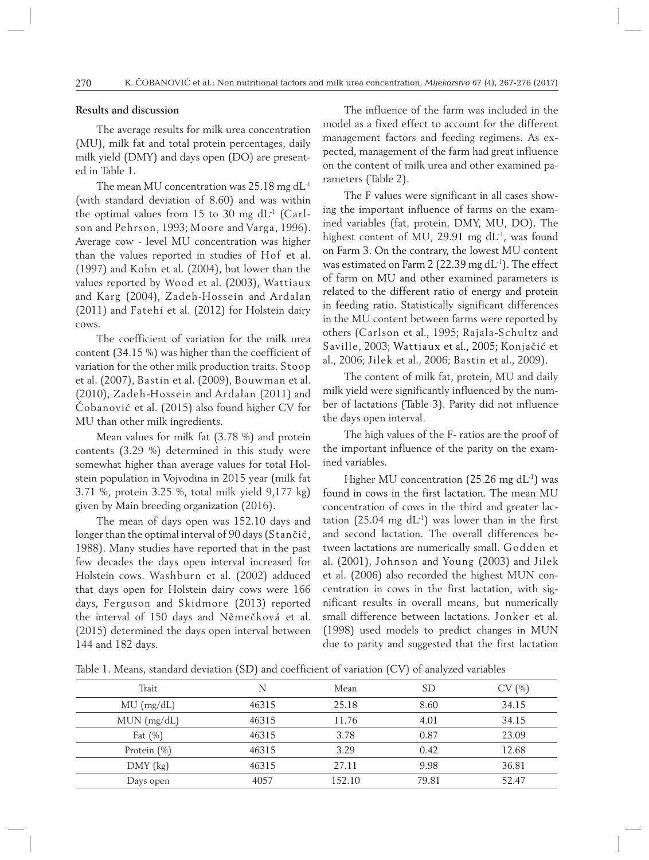#### **Results and discussion**

The average results for milk urea concentration (MU), milk fat and total protein percentages, daily milk yield (DMY) and days open (DO) are presented in Table 1.

The mean MU concentration was 25.18 mg dL<sup>-1</sup> (with standard deviation of 8.60) and was within the optimal values from 15 to 30 mg  $dL<sup>-1</sup>$  (Carlson and Pehrson, 1993; Moore and Varga, 1996). Average cow - level MU concentration was higher than the values reported in studies of Hof et al. (1997) and Kohn et al. (2004), but lower than the values reported by Wood et al. (2003), Wattiaux and Karg (2004), Zadeh-Hossein and Ardalan (2011) and Fatehi et al. (2012) for Holstein dairy cows.

The coefficient of variation for the milk urea content (34.15 %) was higher than the coefficient of variation for the other milk production traits. Stoop et al. (2007), Bastin et al. (2009), Bouwman et al. (2010), Zadeh-Hossein and Ardalan (2011) and Čobanović et al. (2015) also found higher CV for MU than other milk ingredients.

Mean values for milk fat (3.78 %) and protein contents (3.29 %) determined in this study were somewhat higher than average values for total Holstein population in Vojvodina in 2015 year (milk fat 3.71 %, protein 3.25 %, total milk yield 9,177 kg) given by Main breeding organization (2016).

The mean of days open was 152.10 days and longer than the optimal interval of 90 days (Stančić, 1988). Many studies have reported that in the past few decades the days open interval increased for Holstein cows. Washburn et al. (2002) adduced that days open for Holstein dairy cows were 166 days, Ferguson and Skidmore (2013) reported the interval of 150 days and Nêmečková et al. (2015) determined the days open interval between 144 and 182 days.

The influence of the farm was included in the model as a fixed effect to account for the different management factors and feeding regimens. As expected, management of the farm had great influence on the content of milk urea and other examined parameters (Table 2).

The F values were significant in all cases showing the important influence of farms on the examined variables (fat, protein, DMY, MU, DO). The highest content of MU, 29.91 mg dL<sup>-1</sup>, was found on Farm 3. On the contrary, the lowest MU content was estimated on Farm 2 (22.39 mg dL-1). The effect of farm on MU and other examined parameters is related to the different ratio of energy and protein in feeding ratio. Statistically significant differences in the MU content between farms were reported by others (Carlson et al., 1995; Rajala-Schultz and Saville, 2003; Wattiaux et al., 2005; Konjačić et al., 2006; Jilek et al., 2006; Bastin et al., 2009).

The content of milk fat, protein, MU and daily milk yield were significantly influenced by the number of lactations (Table 3). Parity did not influence the days open interval.

The high values of the F- ratios are the proof of the important influence of the parity on the examined variables.

Higher MU concentration (25.26 mg  $dL^{-1}$ ) was found in cows in the first lactation. The mean MU concentration of cows in the third and greater lactation (25.04 mg  $dL^{-1}$ ) was lower than in the first and second lactation. The overall differences between lactations are numerically small. Godden et al. (2001), Johnson and Young (2003) and Jilek et al. (2006) also recorded the highest MUN concentration in cows in the first lactation, with significant results in overall means, but numerically small difference between lactations. Jonker et al. (1998) used models to predict changes in MUN due to parity and suggested that the first lactation

Table 1. Means, standard deviation (SD) and coefficient of variation (CV) of analyzed variables

| Trait          | N     | Mean   | SD    | CV(%) |
|----------------|-------|--------|-------|-------|
| $MU$ (mg/dL)   | 46315 | 25.18  | 8.60  | 34.15 |
| $MUN$ (mg/dL)  | 46315 | 11.76  | 4.01  | 34.15 |
| Fat $(\%)$     | 46315 | 3.78   | 0.87  | 23.09 |
| Protein $(\%)$ | 46315 | 3.29   | 0.42  | 12.68 |
| $DMY$ (kg)     | 46315 | 27.11  | 9.98  | 36.81 |
| Days open      | 4057  | 152.10 | 79.81 | 52.47 |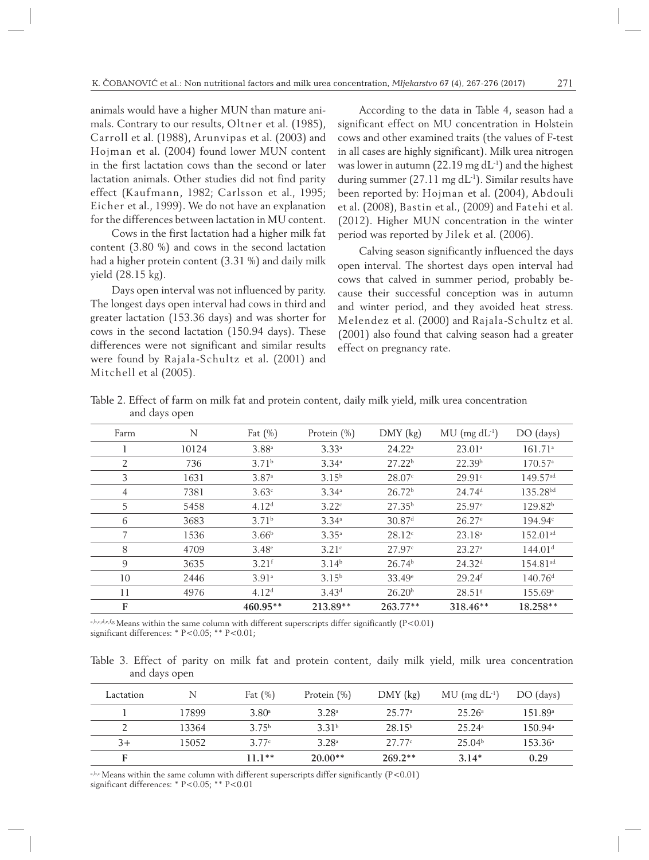animals would have a higher MUN than mature animals. Contrary to our results, Oltner et al. (1985), Carroll et al. (1988), Arunvipas et al. (2003) and Hojman et al. (2004) found lower MUN content in the first lactation cows than the second or later lactation animals. Other studies did not find parity effect (Kaufmann, 1982; Carlsson et al., 1995; Eicher et al., 1999). We do not have an explanation for the differences between lactation in MU content.

Cows in the first lactation had a higher milk fat content (3.80 %) and cows in the second lactation had a higher protein content (3.31 %) and daily milk yield (28.15 kg).

Days open interval was not influenced by parity. The longest days open interval had cows in third and greater lactation (153.36 days) and was shorter for cows in the second lactation (150.94 days). These differences were not significant and similar results were found by Rajala-Schultz et al. (2001) and Mitchell et al (2005).

According to the data in Table 4, season had a significant effect on MU concentration in Holstein cows and other examined traits (the values of F-test in all cases are highly significant). Milk urea nitrogen was lower in autumn (22.19 mg  $dL^{-1}$ ) and the highest during summer  $(27.11 \text{ mg dL}^{-1})$ . Similar results have been reported by: Hojman et al. (2004), Abdouli et al. (2008), Bastin et al., (2009) and Fatehi et al. (2012). Higher MUN concentration in the winter period was reported by Jilek et al. (2006).

Calving season significantly influenced the days open interval. The shortest days open interval had cows that calved in summer period, probably because their successful conception was in autumn and winter period, and they avoided heat stress. Melendez et al. (2000) and Rajala-Schultz et al. (2001) also found that calving season had a greater effect on pregnancy rate.

| Farm | N     | Fat $(\%)$          | Protein $(\%)$    | $DMY$ (kg)         | $MU$ (mg $dL^{-1}$ ) | DO (days)              |  |
|------|-------|---------------------|-------------------|--------------------|----------------------|------------------------|--|
|      | 10124 | $3.88^{a}$          | $3.33^{a}$        | 24.22 <sup>a</sup> | $23.01^a$            | 161.71 <sup>a</sup>    |  |
| 2    | 736   | 3.71 <sup>b</sup>   | $3.34^{\circ}$    | 27.22 <sup>b</sup> | 22.39 <sup>b</sup>   | 170.57 <sup>a</sup>    |  |
| 3    | 1631  | 3.87a               | $3.15^{b}$        | 28.07c             | 29.91c               | $149.57$ <sup>ad</sup> |  |
| 4    | 7381  | 3.63 <sup>c</sup>   | 3.34 <sup>a</sup> | 26.72 <sup>b</sup> | 24.74 <sup>d</sup>   | 135.28 <sup>bd</sup>   |  |
| 5    | 5458  | 4.12 <sup>d</sup>   | 3.22c             | 27.35 <sup>b</sup> | 25.97 <sup>e</sup>   | 129.82 <sup>b</sup>    |  |
| 6    | 3683  | 3.71 <sup>b</sup>   | 3.34 <sup>a</sup> | 30.87 <sup>d</sup> | $26.27^e$            | $194.94^{\circ}$       |  |
|      | 1536  | 3.66 <sup>b</sup>   | $3.35^{a}$        | 28.12c             | 23.18 <sup>a</sup>   | $152.01$ <sup>ad</sup> |  |
| 8    | 4709  | $3.48^{\circ}$      | 3.21c             | 27.97c             | 23.27a               | 144.01 <sup>d</sup>    |  |
| 9    | 3635  | $3.21$ <sup>f</sup> | 3.14 <sup>b</sup> | 26.74 <sup>b</sup> | 24.32 <sup>d</sup>   | 154.81 <sup>ad</sup>   |  |
| 10   | 2446  | 3.91a               | 3.15 <sup>b</sup> | $33.49^{\circ}$    | $29.24$ <sup>f</sup> | 140.76 <sup>d</sup>    |  |
| 11   | 4976  | 4.12 <sup>d</sup>   | $3.43^d$          | 26.20 <sup>b</sup> | $28.51$ <sup>g</sup> | $155.69^{\circ}$       |  |
| F    |       | $460.95**$          | 213.89**          | $263.77**$         | $318.46**$           | $18.258**$             |  |

Table 2. Effect of farm on milk fat and protein content, daily milk yield, milk urea concentration and days open

a,b,c,d,e,f,g Means within the same column with different superscripts differ significantly (P<0.01) significant differences: \* P<0.05; \*\* P<0.01;

Table 3. Effect of parity on milk fat and protein content, daily milk yield, milk urea concentration and days open

| Lactation | N     | Fat $(\%)$        | Protein $(\%)$    | $DMY$ (kg)         | $MU$ (mg $dL^{-1}$ ) | DO (days)           |
|-----------|-------|-------------------|-------------------|--------------------|----------------------|---------------------|
|           | 17899 | 3.80 <sup>a</sup> | 3.28 <sup>a</sup> | 25.77 <sup>a</sup> | 25.26 <sup>a</sup>   | 151.89 <sup>a</sup> |
|           | 13364 | 3.75 <sup>b</sup> | 3.31 <sup>b</sup> | 28.15 <sup>b</sup> | 25.24 <sup>a</sup>   | 150.94 <sup>a</sup> |
| $3+$      | 15052 | 3.77c             | 3.28 <sup>a</sup> | 27.77c             | 25.04 <sup>b</sup>   | $153.36^{\circ}$    |
|           |       | $11.1**$          | $20.00**$         | $269.2**$          | $3.14*$              | 0.29                |

a,b,c Means within the same column with different superscripts differ significantly  $(P<0.01)$ significant differences: \* P<0.05; \*\* P<0.01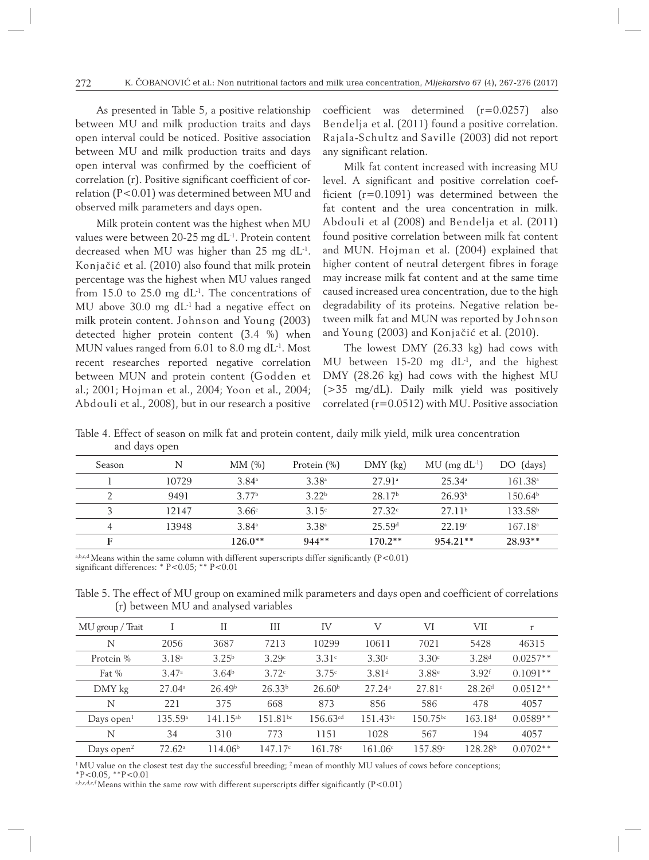As presented in Table 5, a positive relationship between MU and milk production traits and days open interval could be noticed. Positive association between MU and milk production traits and days open interval was confirmed by the coefficient of correlation (r). Positive significant coefficient of correlation (P<0.01) was determined between MU and observed milk parameters and days open.

Milk protein content was the highest when MU values were between 20-25 mg dL<sup>-1</sup>. Protein content decreased when MU was higher than 25 mg dL-1. Konjačić et al. (2010) also found that milk protein percentage was the highest when MU values ranged from 15.0 to 25.0 mg  $dL<sup>-1</sup>$ . The concentrations of MU above 30.0 mg dL-1 had a negative effect on milk protein content. Johnson and Young (2003) detected higher protein content (3.4 %) when MUN values ranged from 6.01 to 8.0 mg dL<sup>-1</sup>. Most recent researches reported negative correlation between MUN and protein content (Godden et al.; 2001; Hojman et al., 2004; Yoon et al., 2004; Abdouli et al., 2008), but in our research a positive

coefficient was determined (r=0.0257) also Bendelja et al. (2011) found a positive correlation. Rajala-Schultz and Saville (2003) did not report any significant relation.

Milk fat content increased with increasing MU level. A significant and positive correlation coefficient (r=0.1091) was determined between the fat content and the urea concentration in milk. Abdouli et al (2008) and Bendelja et al. (2011) found positive correlation between milk fat content and MUN. Hojman et al. (2004) explained that higher content of neutral detergent fibres in forage may increase milk fat content and at the same time caused increased urea concentration, due to the high degradability of its proteins. Negative relation between milk fat and MUN was reported by Johnson and Young (2003) and Konjačić et al. (2010).

The lowest DMY (26.33 kg) had cows with MU between 15-20 mg  $dL^{-1}$ , and the highest DMY (28.26 kg) had cows with the highest MU (>35 mg/dL). Daily milk yield was positively correlated (r=0.0512) with MU. Positive association

| <b>Season</b> | N     | MM(%)             | Protein $(\%)$    | $DMY$ (kg)         | $MU$ (mg $dL^{-1}$ ) | DO (days)           |
|---------------|-------|-------------------|-------------------|--------------------|----------------------|---------------------|
|               | 10729 | $3.84^{\circ}$    | $3.38^{a}$        | 27.91 <sup>a</sup> | $25.34^{\circ}$      | 161.38 <sup>a</sup> |
|               | 9491  | 377 <sup>b</sup>  | 372 <sup>b</sup>  | 28.17 <sup>b</sup> | 26.93 <sup>b</sup>   | 150.64 <sup>b</sup> |
|               | 12147 | 3.66c             | 3.15c             | 27.32 <sup>c</sup> | 27.11 <sup>b</sup>   | 133.58b             |
| 4             | 13948 | 3.84 <sup>a</sup> | 3.38 <sup>a</sup> | 25.59 <sup>d</sup> | 22.19°               | 167.18 <sup>a</sup> |
| г             |       | $126.0**$         | $944**$           | $170.2**$          | $954.21**$           | 28.93**             |

Table 4. Effect of season on milk fat and protein content, daily milk yield, milk urea concentration and days open

a,b,c,d Means within the same column with different superscripts differ significantly  $(P<0.01)$ significant differences: \* P<0.05; \*\* P<0.01

Table 5. The effect of MU group on examined milk parameters and days open and coefficient of correlations (r) between MU and analysed variables

| MU group / Trait       |                    | Н                   | Ш                  | IV                     | V                 | VI                | VII                 | r          |
|------------------------|--------------------|---------------------|--------------------|------------------------|-------------------|-------------------|---------------------|------------|
| N                      | 2056               | 3687                | 7213               | 10299                  | 10611             | 7021              | 5428                | 46315      |
| Protein %              | 3.18 <sup>a</sup>  | 3.25 <sup>b</sup>   | 3.29c              | 3.31c                  | 3.30c             | 3.30 <sup>c</sup> | 3.28 <sup>d</sup>   | $0.0257**$ |
| Fat $%$                | 3.47a              | 3.64 <sup>b</sup>   | 3.72c              | 3.75c                  | 3.81 <sup>d</sup> | $3.88^{\circ}$    | $3.92$ <sup>f</sup> | $0.1091**$ |
| DMY kg                 | $27.04^{\circ}$    | 26.49 <sup>b</sup>  | 26.33 <sup>b</sup> | 26.60 <sup>b</sup>     | 27.24a            | 27.81c            | 28.26 <sup>d</sup>  | $0.0512**$ |
| N                      | 221                | 375                 | 668                | 873                    | 856               | 586               | 478                 | 4057       |
| Days open $1$          | 135.59a            | $141.15^{ab}$       | $151.81^{bc}$      | $156.63$ <sup>cd</sup> | $151.43^{bc}$     | $150.75^{bc}$     | 163.18 <sup>d</sup> | $0.0589**$ |
| N                      | 34                 | 310                 | 773                | 1151                   | 1028              | 567               | 194                 | 4057       |
| Days open <sup>2</sup> | 72.62 <sup>a</sup> | 114.06 <sup>b</sup> | 147.17c            | 161.78 <sup>c</sup>    | 161.06c           | 157.89c           | 128.28b             | $0.0702**$ |

<sup>1</sup> MU value on the closest test day the successful breeding; <sup>2</sup> mean of monthly MU values of cows before conceptions;

 $*P<0.05$ ,  $*P<0.01$ 

a,b,c,d,e,f Means within the same row with different superscripts differ significantly  $(P<0.01)$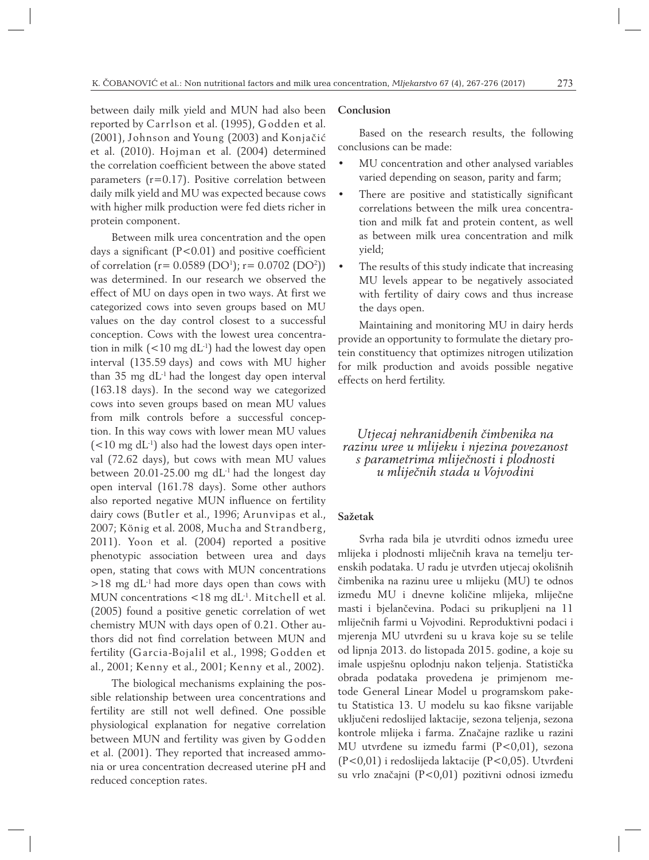between daily milk yield and MUN had also been reported by Carrlson et al. (1995), Godden et al. (2001), Johnson and Young (2003) and Konjačić et al. (2010). Hojman et al. (2004) determined the correlation coefficient between the above stated parameters (r=0.17). Positive correlation between daily milk yield and MU was expected because cows with higher milk production were fed diets richer in protein component.

Between milk urea concentration and the open days a significant  $(P<0.01)$  and positive coefficient of correlation (r=  $0.0589$  (DO<sup>1</sup>); r=  $0.0702$  (DO<sup>2</sup>)) was determined. In our research we observed the effect of MU on days open in two ways. At first we categorized cows into seven groups based on MU values on the day control closest to a successful conception. Cows with the lowest urea concentration in milk  $(<10 \text{ mg dL}^{-1})$  had the lowest day open interval (135.59 days) and cows with MU higher than  $35 \text{ mg d}$ L<sup>-1</sup> had the longest day open interval (163.18 days). In the second way we categorized cows into seven groups based on mean MU values from milk controls before a successful conception. In this way cows with lower mean MU values  $(<10 \text{ mg dL}^{-1})$  also had the lowest days open interval (72.62 days), but cows with mean MU values between  $20.01$ -25.00 mg dL<sup>-1</sup> had the longest day open interval (161.78 days). Some other authors also reported negative MUN influence on fertility dairy cows (Butler et al., 1996; Arunvipas et al., 2007; König et al. 2008, Mucha and Strandberg, 2011). Yoon et al. (2004) reported a positive phenotypic association between urea and days open, stating that cows with MUN concentrations  $>18$  mg dL<sup>-1</sup> had more days open than cows with MUN concentrations <18 mg dL<sup>-1</sup>. Mitchell et al. (2005) found a positive genetic correlation of wet chemistry MUN with days open of 0.21. Other authors did not find correlation between MUN and fertility (Garcia-Bojalil et al., 1998; Godden et al., 2001; Kenny et al., 2001; Kenny et al., 2002).

The biological mechanisms explaining the possible relationship between urea concentrations and fertility are still not well defined. One possible physiological explanation for negative correlation between MUN and fertility was given by Godden et al. (2001). They reported that increased ammonia or urea concentration decreased uterine pH and reduced conception rates.

### **Conclusion**

Based on the research results, the following conclusions can be made:

- MU concentration and other analysed variables varied depending on season, parity and farm;
- There are positive and statistically significant correlations between the milk urea concentration and milk fat and protein content, as well as between milk urea concentration and milk yield;
- The results of this study indicate that increasing MU levels appear to be negatively associated with fertility of dairy cows and thus increase the days open.

Maintaining and monitoring MU in dairy herds provide an opportunity to formulate the dietary protein constituency that optimizes nitrogen utilization for milk production and avoids possible negative effects on herd fertility.

*Utjecaj nehranidbenih čimbenika na razinu uree u mlijeku i njezina povezanost s parametrima mliječnosti i plodnosti u mliječnih stada u Vojvodini*

## **Sažetak**

Svrha rada bila je utvrditi odnos između uree mlijeka i plodnosti mliječnih krava na temelju terenskih podataka. U radu je utvrđen utjecaj okolišnih čimbenika na razinu uree u mlijeku (MU) te odnos između MU i dnevne količine mlijeka, mliječne masti i bjelančevina. Podaci su prikupljeni na 11 mliječnih farmi u Vojvodini. Reproduktivni podaci i mjerenja MU utvrđeni su u krava koje su se telile od lipnja 2013. do listopada 2015. godine, a koje su imale uspješnu oplodnju nakon teljenja. Statistička obrada podataka provedena je primjenom metode General Linear Model u programskom paketu Statistica 13. U modelu su kao fiksne varijable uključeni redoslijed laktacije, sezona teljenja, sezona kontrole mlijeka i farma. Značajne razlike u razini MU utvrđene su između farmi (P<0,01), sezona (P<0,01) i redoslijeda laktacije (P<0,05). Utvrđeni su vrlo značajni (P<0,01) pozitivni odnosi između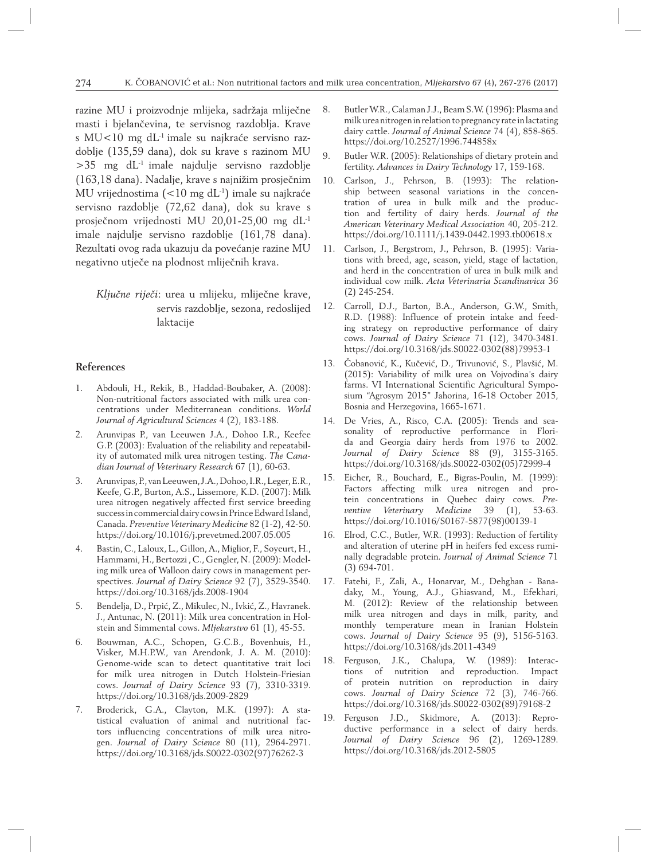razine MU i proizvodnje mlijeka, sadržaja mliječne masti i bjelančevina, te servisnog razdoblja. Krave s MU<10 mg dL<sup>-1</sup> imale su najkraće servisno razdoblje (135,59 dana), dok su krave s razinom MU  $>35$  mg dL<sup>-1</sup> imale najdulje servisno razdoblje (163,18 dana). Nadalje, krave s najnižim prosječnim MU vrijednostima (<10 mg dL-1) imale su najkraće servisno razdoblje (72,62 dana), dok su krave s prosječnom vrijednosti MU 20,01-25,00 mg dL-1 imale najdulje servisno razdoblje (161,78 dana). Rezultati ovog rada ukazuju da povećanje razine MU negativno utječe na plodnost mliječnih krava.

*Ključne riječi*: urea u mlijeku, mliječne krave, servis razdoblje, sezona, redoslijed laktacije

## **References**

- 1. Abdouli, H., Rekik, B., Haddad-Boubaker, A. (2008): Non-nutritional factors associated with milk urea concentrations under Mediterranean conditions. *World Journal of Agricultural Sciences* 4 (2), 183-188.
- 2. Arunvipas P., van Leeuwen J.A., Dohoo I.R., Keefee G.P. (2003): Evaluation of the reliability and repeatability of automated milk urea nitrogen testing. *The Canadian Journal of Veterinary Research* 67 (1), 60-63.
- 3. Arunvipas, P., van Leeuwen, J.A., Dohoo, I.R., Leger, E.R., Keefe, G.P., Burton, A.S., Lissemore, K.D. (2007): Milk urea nitrogen negatively affected first service breeding success in commercial dairy cows in Prince Edward Island, Canada. *Preventive Veterinary Medicine* 82 (1-2), 42-50. https://doi.org/10.1016/j.prevetmed.2007.05.005
- 4. Bastin, C., Laloux, L., Gillon, A., Miglior, F., Soyeurt, H., Hammami, H., Bertozzi , C., Gengler, N. (2009): Modeling milk urea of Walloon dairy cows in management perspectives. *Journal of Dairy Science* 92 (7), 3529-3540. https://doi.org/10.3168/jds.2008-1904
- 5. Bendelja, D., Prpić, Z., Mikulec, N., Ivkić, Z., Havranek. J., Antunac, N. (2011): Milk urea concentration in Holstein and Simmental cows. *Mljekarstvo* 61 (1), 45-55.
- 6. Bouwman, A.C., Schopen, G.C.B., Bovenhuis, H., Visker, M.H.P.W., van Arendonk, J. A. M. (2010): Genome-wide scan to detect quantitative trait loci for milk urea nitrogen in Dutch Holstein-Friesian cows. *Journal of Dairy Science* 93 (7), 3310-3319. https://doi.org/10.3168/jds.2009-2829
- 7. Broderick, G.A., Clayton, M.K. (1997): A statistical evaluation of animal and nutritional factors influencing concentrations of milk urea nitrogen. *Journal of Dairy Science* 80 (11), 2964-2971. https://doi.org/10.3168/jds.S0022-0302(97)76262-3
- 8. Butler W.R., Calaman J.J., Beam S.W. (1996): Plasma and milk urea nitrogen in relation to pregnancy rate in lactating dairy cattle. *Journal of Animal Science* 74 (4), 858-865. https://doi.org/10.2527/1996.744858x
- 9. Butler W.R. (2005): Relationships of dietary protein and fertility. *Advances in Dairy Technology* 17, 159-168.
- 10. Carlson, J., Pehrson, B. (1993): The relationship between seasonal variations in the concentration of urea in bulk milk and the production and fertility of dairy herds. *Journal of the American Veterinary Medical Association* 40, 205-212. https://doi.org/10.1111/j.1439-0442.1993.tb00618.x
- 11. Carlson, J., Bergstrom, J., Pehrson, B. (1995): Variations with breed, age, season, yield, stage of lactation, and herd in the concentration of urea in bulk milk and individual cow milk. *Acta Veterinaria Scandinavica* 36 (2) 245-254.
- 12. Carroll, D.J., Barton, B.A., Anderson, G.W., Smith, R.D. (1988): Influence of protein intake and feeding strategy on reproductive performance of dairy cows. *Journal of Dairy Science* 71 (12), 3470-3481. https://doi.org/10.3168/jds.S0022-0302(88)79953-1
- 13. Čobanović, K., Kučević, D., Trivunović, S., Plavšić, M. (2015): Variability of milk urea on Vojvodina's dairy farms. VI International Scientific Agricultural Symposium "Agrosym 2015" Jahorina, 16-18 October 2015, Bosnia and Herzegovina, 1665-1671.
- 14. De Vries, A., Risco, C.A. (2005): Trends and seasonality of reproductive performance in Florida and Georgia dairy herds from 1976 to 2002. *Journal of Dairy Science* 88 (9), 3155-3165. https://doi.org/10.3168/jds.S0022-0302(05)72999-4
- 15. Eicher, R., Bouchard, E., Bigras-Poulin, M. (1999): Factors affecting milk urea nitrogen and protein concentrations in Quebec dairy cows. *Preventive Veterinary Medicine* 39 (1), 53-63. https://doi.org/10.1016/S0167-5877(98)00139-1
- 16. Elrod, C.C., Butler, W.R. (1993): Reduction of fertility and alteration of uterine pH in heifers fed excess ruminally degradable protein. *Journal of Animal Science* 71 (3) 694-701.
- 17. Fatehi, F., Zali, A., Honarvar, M., Dehghan Banadaky, M., Young, A.J., Ghiasvand, M., Efekhari, M. (2012): Review of the relationship between milk urea nitrogen and days in milk, parity, and monthly temperature mean in Iranian Holstein cows. *Journal of Dairy Science* 95 (9), 5156-5163. https://doi.org/10.3168/jds.2011-4349
- 18. Ferguson, J.K., Chalupa, W. (1989): Interactions of nutrition and reproduction. Impact of protein nutrition on reproduction in dairy cows. *Journal of Dairy Science* 72 (3), 746-766. https://doi.org/10.3168/jds.S0022-0302(89)79168-2
- 19. Ferguson J.D., Skidmore, A. (2013): Reproductive performance in a select of dairy herds. *Journal of Dairy Science* 96 (2), 1269-1289. https://doi.org/10.3168/jds.2012-5805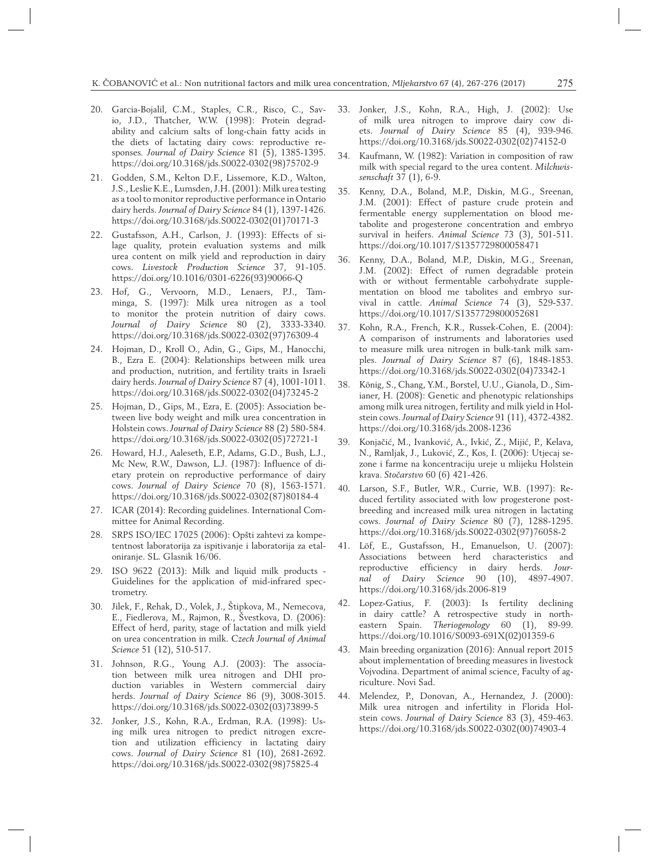- 20. Garcia-Bojalil, C.M., Staples, C.R., Risco, C., Savio, J.D., Thatcher, W.W. (1998): Protein degradability and calcium salts of long-chain fatty acids in the diets of lactating dairy cows: reproductive responses*. Journal of Dairy Science* 81 (5), 1385-1395. https://doi.org/10.3168/jds.S0022-0302(98)75702-9
- 21. Godden, S.M., Kelton D.F., Lissemore, K.D., Walton, J.S., Leslie K.E., Lumsden, J.H. (2001): Milk urea testing as a tool to monitor reproductive performance in Ontario dairy herds. *Journal of Dairy Science* 84 (1), 1397-1426. https://doi.org/10.3168/jds.S0022-0302(01)70171-3
- 22. Gustafsson, A.H., Carlson, J. (1993): Effects of silage quality, protein evaluation systems and milk urea content on milk yield and reproduction in dairy cows. *Livestock Production Science* 37, 91-105. https://doi.org/10.1016/0301-6226(93)90066-Q
- 23. Hof, G., Vervoorn, M.D., Lenaers, P.J., Tamminga, S. (1997): Milk urea nitrogen as a tool to monitor the protein nutrition of dairy cows. *Journal of Dairy Science* 80 (2), 3333-3340. https://doi.org/10.3168/jds.S0022-0302(97)76309-4
- 24. Hojman, D., Kroll O., Adin, G., Gips, M., Hanocchi, B., Ezra E. (2004): Relationships between milk urea and production, nutrition, and fertility traits in Israeli dairy herds. *Journal of Dairy Science* 87 (4), 1001-1011. https://doi.org/10.3168/jds.S0022-0302(04)73245-2
- 25. Hojman, D., Gips, M., Ezra, E. (2005): Association between live body weight and milk urea concentration in Holstein cows. *Journal of Dairy Science* 88 (2) 580-584. https://doi.org/10.3168/jds.S0022-0302(05)72721-1
- 26. Howard, H.J., Aaleseth, E.P., Adams, G.D., Bush, L.J., Mc New, R.W., Dawson, L.J. (1987): Influence of dietary protein on reproductive performance of dairy cows. *Journal of Dairy Science* 70 (8), 1563-1571. https://doi.org/10.3168/jds.S0022-0302(87)80184-4
- 27. ICAR (2014): Recording guidelines. International Committee for Animal Recording.
- 28. SRPS ISO/IEC 17025 (2006): Opšti zahtevi za kompetentnost laboratorija za ispitivanje i laboratorija za etaloniranje. SL. Glasnik 16/06.
- 29. ISO 9622 (2013): Milk and liquid milk products Guidelines for the application of mid-infrared spectrometry.
- 30. Jilek, F., Rehak, D., Volek, J., Štipkova, M., Nemecova, E., Fiedlerova, M., Rajmon, R., Švestkova, D. (2006): Effect of herd, parity, stage of lactation and milk yield on urea concentration in milk. *Czech Journal of Animal Science* 51 (12), 510-517.
- 31. Johnson, R.G., Young A.J. (2003): The association between milk urea nitrogen and DHI production variables in Western commercial dairy herds. *Journal of Dairy Science* 86 (9), 3008-3015. https://doi.org/10.3168/jds.S0022-0302(03)73899-5
- 32. Jonker, J.S., Kohn, R.A., Erdman, R.A. (1998): Using milk urea nitrogen to predict nitrogen excretion and utilization efficiency in lactating dairy cows. *Journal of Dairy Science* 81 (10), 2681-2692. https://doi.org/10.3168/jds.S0022-0302(98)75825-4
- 33. Jonker, J.S., Kohn, R.A., High, J. (2002): Use of milk urea nitrogen to improve dairy cow diets. *Journal of Dairy Science* 85 (4), 939-946. https://doi.org/10.3168/jds.S0022-0302(02)74152-0
- 34. Kaufmann, W. (1982): Variation in composition of raw milk with special regard to the urea content. *Milchwissenschaft* 37 (1), 6-9.
- 35. Kenny, D.A., Boland, M.P., Diskin, M.G., Sreenan, J.M. (2001): Effect of pasture crude protein and fermentable energy supplementation on blood metabolite and progesterone concentration and embryo survival in heifers. *Animal Science* 73 (3), 501-511. https://doi.org/10.1017/S1357729800058471
- 36. Kenny, D.A., Boland, M.P., Diskin, M.G., Sreenan, J.M. (2002): Effect of rumen degradable protein with or without fermentable carbohydrate supplementation on blood me tabolites and embryo survival in cattle. *Animal Science* 74 (3), 529-537. https://doi.org/10.1017/S1357729800052681
- 37. Kohn, R.A., French, K.R., Russek-Cohen, E. (2004): A comparison of instruments and laboratories used to measure milk urea nitrogen in bulk-tank milk samples. *Journal of Dairy Science* 87 (6), 1848-1853. https://doi.org/10.3168/jds.S0022-0302(04)73342-1
- 38. König, S., Chang, Y.M., Borstel, U.U., Gianola, D., Simianer, H. (2008): Genetic and phenotypic relationships among milk urea nitrogen, fertility and milk yield in Holstein cows. *Journal of Dairy Science* 91 (11), 4372-4382. https://doi.org/10.3168/jds.2008-1236
- 39. Konjačić, M., Ivanković, A., Ivkić, Z., Mijić, P., Kelava, N., Ramljak, J., Luković, Z., Kos, I. (2006): Utjecaj sezone i farme na koncentraciju ureje u mlijeku Holstein krava. *Stočarstvo* 60 (6) 421-426.
- 40. Larson, S.F., Butler, W.R., Currie, W.B. (1997): Reduced fertility associated with low progesterone postbreeding and increased milk urea nitrogen in lactating cows. *Journal of Dairy Science* 80 (7), 1288-1295. https://doi.org/10.3168/jds.S0022-0302(97)76058-2
- 41. Löf, E., Gustafsson, H., Emanuelson, U. (2007): Associations between herd characteristics and reproductive efficiency in dairy herds. *Journal of Dairy Science* 90 (10), 4897-4907. https://doi.org/10.3168/jds.2006-819
- 42. Lopez-Gatius, F. (2003): Is fertility declining in dairy cattle? A retrospective study in northeastern Spain. *Theriogenology* 60 (1), 89-99. https://doi.org/10.1016/S0093-691X(02)01359-6
- 43. Main breeding organization (2016): Annual report 2015 about implementation of breeding measures in livestock Vojvodina. Department of animal science, Faculty of agriculture. Novi Sad.
- 44. Melendez, P., Donovan, A., Hernandez, J. (2000): Milk urea nitrogen and infertility in Florida Holstein cows. *Journal of Dairy Science* 83 (3), 459-463. https://doi.org/10.3168/jds.S0022-0302(00)74903-4